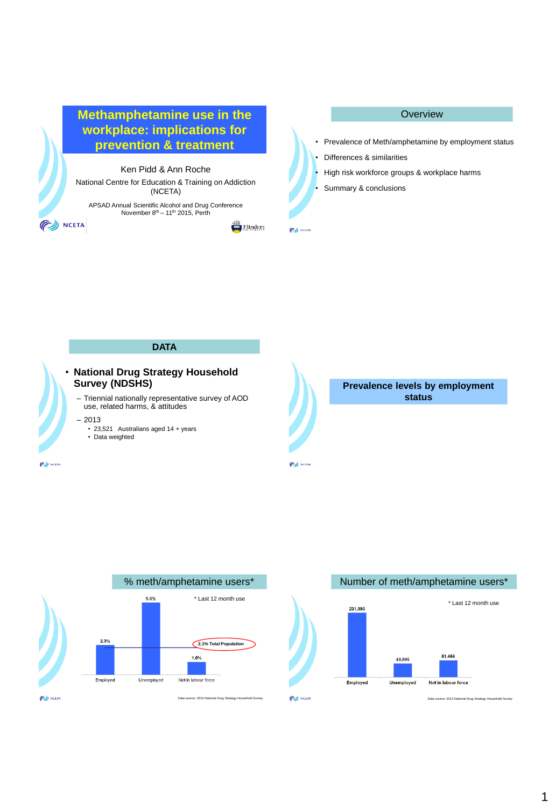

 $\Box$  Flinders

**PU NCEIA** 







**Overview** 



Data source: 2013 National Drug Strategy Household Surve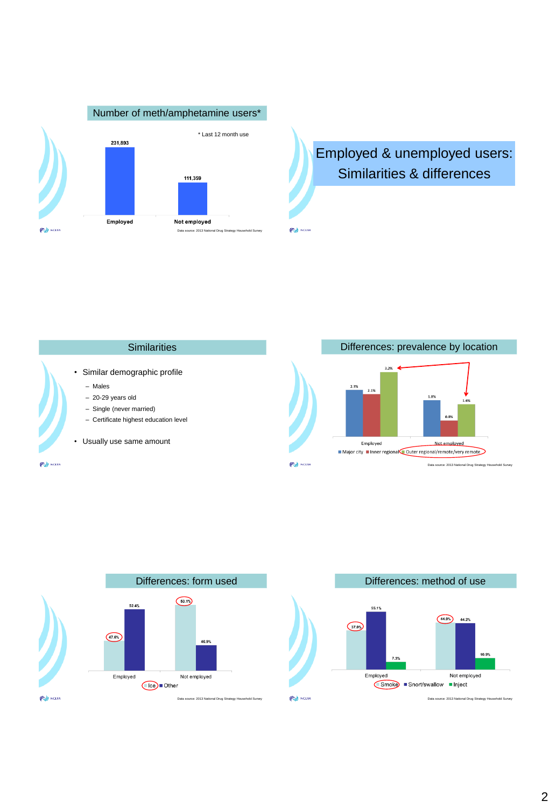

Employed & unemployed users: Similarities & differences



**PU NCEIA** 



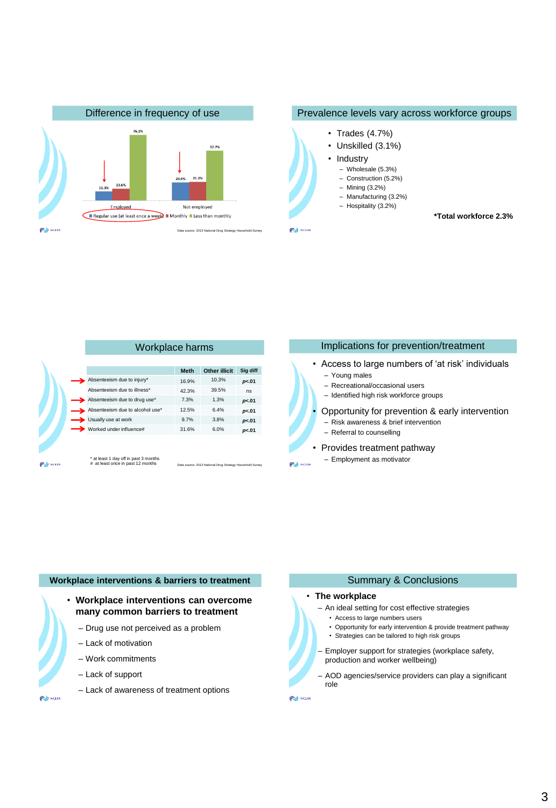

### Prevalence levels vary across workforce groups

- Trades (4.7%)
- Unskilled (3.1%)
- Industry
- Wholesale (5.3%)
- Construction (5.2%)
- Mining (3.2%)
- Manufacturing (3.2%)
- Hospitality (3.2%)
- 

**PU NCETA** 

 **\*Total workforce 2.3%**

|                                                                            | Workplace harms |                                                           |          |  |
|----------------------------------------------------------------------------|-----------------|-----------------------------------------------------------|----------|--|
|                                                                            | <b>Meth</b>     | <b>Other illicit</b>                                      | Sig diff |  |
| Absenteeism due to injury*                                                 | 16.9%           | 10.3%                                                     | p<.01    |  |
| Absenteeism due to illness*                                                | 42.3%           | 39.5%                                                     | ns       |  |
| Absenteeism due to drug use*                                               | 7.3%            | 1.3%                                                      | p<.01    |  |
| Absenteeism due to alcohol use*                                            | 12.5%           | 6.4%                                                      | p<.01    |  |
| Usually use at work                                                        | 9.7%            | 3.8%                                                      | p<.01    |  |
| Worked under influence#                                                    | 31.6%           | 6.0%                                                      | p<.01    |  |
| * at least 1 day off in past 3 months<br># at least once in past 12 months |                 | Data source: 2013 National Drug Strategy Household Survey |          |  |

# Implications for prevention/treatment • Access to large numbers of 'at risk' individuals – Young males – Recreational/occasional users – Identified high risk workforce groups • Opportunity for prevention & early intervention – Risk awareness & brief intervention – Referral to counselling • Provides treatment pathway – Employment as motivator **PU NCETA**

#### **Workplace interventions & barriers to treatment**

• **Workplace interventions can overcome many common barriers to treatment**

- Drug use not perceived as a problem
- Lack of motivation
- Work commitments
- Lack of support
- Lack of awareness of treatment options

**CONCEIN** 

# Summary & Conclusions

### • **The workplace**

- An ideal setting for cost effective strategies
	- Access to large numbers users
	- Opportunity for early intervention & provide treatment pathway
	- Strategies can be tailored to high risk groups
- Employer support for strategies (workplace safety, production and worker wellbeing)
- AOD agencies/service providers can play a significant role

**CONCEIN**